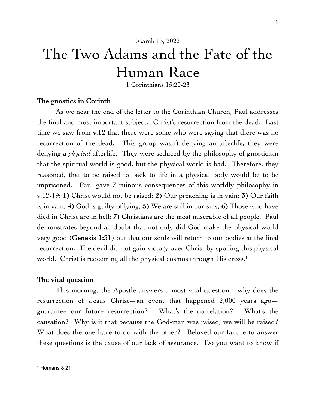# The Two Adams and the Fate of the Human Race

<span id="page-0-1"></span>1 Corinthians 15:20-23

#### **The gnostics in Corinth**

As we near the end of the letter to the Corinthian Church, Paul addresses the final and most important subject: Christ's resurrection from the dead. Last time we saw from **v.12** that there were some who were saying that there was no resurrection of the dead. This group wasn't denying an afterlife, they were denying a *physical* afterlife. They were seduced by the philosophy of gnosticism that the spiritual world is good, but the physical world is bad. Therefore, they reasoned, that to be raised to back to life in a physical body would be to be imprisoned. Paul gave 7 ruinous consequences of this worldly philosophy in v.12-19: **1)** Christ would not be raised; **2)** Our preaching is in vain; **3)** Our faith is in vain; **4)** God is guilty of lying; **5)** We are still in our sins; **6)** Those who have died in Christ are in hell; **7)** Christians are the most miserable of all people. Paul demonstrates beyond all doubt that not only did God make the physical world very good (**Genesis 1:31**) but that our souls will return to our bodies at the final resurrection. The devil did not gain victory over Christ by spoiling this physical world. Christ is redeeming all the physical cosmos through His cross.<sup>[1](#page-0-0)</sup>

#### **The vital question**

 This morning, the Apostle answers a most vital question: why does the resurrection of Jesus Christ—an event that happened  $2,000$  years ago guarantee our future resurrection? What's the correlation? What's the causation? Why is it that because the God-man was raised, we will be raised? What does the one have to do with the other? Beloved our failure to answer these questions is the cause of our lack of assurance. Do you want to know if

<span id="page-0-0"></span>[<sup>1</sup>](#page-0-1) Romans 8:21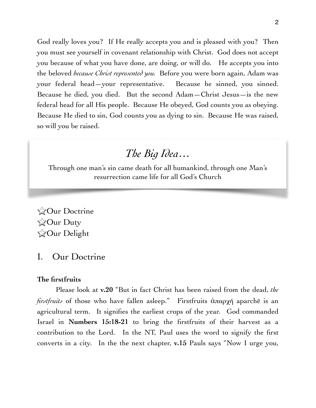God really loves you? If He really accepts you and is pleased with you? Then you must see yourself in covenant relationship with Christ. God does not accept you because of what you have done, are doing, or will do. He accepts you into the beloved *because Christ represented you.* Before you were born again, Adam was your federal head—your representative. Because he sinned, you sinned. Because he died, you died. But the second Adam—Christ Jesus—is the new federal head for all His people. Because He obeyed, God counts you as obeying. Because He died to sin, God counts you as dying to sin. Because He was raised, so will you be raised.

## *The Big Idea…*

Through one man's sin came death for all humankind, through one Man's resurrection came life for all God's Church

**ZOur Doctrine ZOur Duty ZOur Delight** 

### I. Our Doctrine

#### **The firstfruits**

Please look at **v.20** "But in fact Christ has been raised from the dead, *the firstfruits* of those who have fallen asleep." Firstfruits ἀπαρχή aparchē is an agricultural term. It signifies the earliest crops of the year. God commanded Israel in **Numbers 15:18-21** to bring the firstfruits of their harvest as a contribution to the Lord. In the NT, Paul uses the word to signify the first converts in a city. In the the next chapter, **v.15** Pauls says "Now I urge you,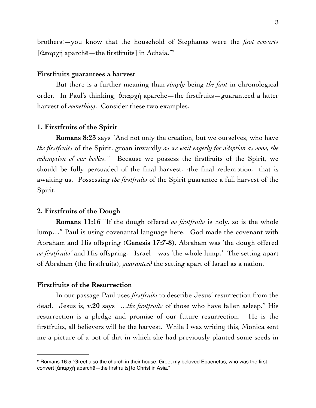<span id="page-2-1"></span>brothers[—you know that the household of Stephanas were the *first converts*   $\left[$ άπαρχή aparchē—the firstfruits] in Achaia."<sup>[2](#page-2-0)</sup>

#### **Firstfruits guarantees a harvest**

But there is a further meaning than *simply* being *the first* in chronological order. In Paul's thinking, ἀπαρχή aparchē—the firstfruits—guaranteed a latter harvest of *something*. Consider these two examples.

#### **1. Firstfruits of the Spirit**

**Romans 8:23** says "And not only the creation, but we ourselves, who have *the firstfruits* of the Spirit, groan inwardly *as we wait eagerly for adoption as sons, the redemption of our bodies."* Because we possess the firstfruits of the Spirit, we should be fully persuaded of the final harvest—the final redemption—that is awaiting us. Possessing *the firstfruits* of the Spirit guarantee a full harvest of the Spirit.

#### **2. Firstfruits of the Dough**

**Romans 11:16** "If the dough offered *as firstfruits* is holy, so is the whole lump…" Paul is using covenantal language here. God made the covenant with Abraham and His offspring (**Genesis 17:7-8**), Abraham was 'the dough offered *as firstfruits'* and His offspring—Israel—was 'the whole lump.' The setting apart of Abraham (the firstfruits), *guaranteed* the setting apart of Israel as a nation.

#### **Firstfruits of the Resurrection**

In our passage Paul uses *firstfruits* to describe Jesus' resurrection from the dead. Jesus is, **v.20** says "…*the firstfruits* of those who have fallen asleep." His resurrection is a pledge and promise of our future resurrection. He is the firstfruits, all believers will be the harvest. While I was writing this, Monica sent me a picture of a pot of dirt in which she had previously planted some seeds in

<span id="page-2-0"></span><sup>&</sup>lt;sup>2</sup>Romans 16:5 "Greet also the church in their house. Greet my beloved Epaenetus, who was the first convert [ἀπαρχή aparchē—the firstfruits] to Christ in Asia."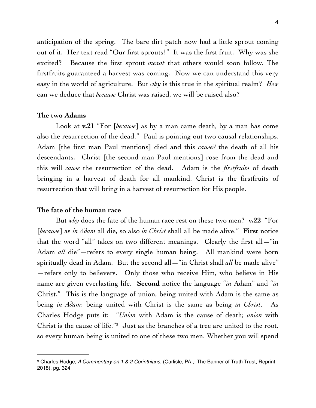anticipation of the spring. The bare dirt patch now had a little sprout coming out of it. Her text read "Our first sprouts!" It was the first fruit. Why was she excited? Because the first sprout *meant* that others would soon follow. The firstfruits guaranteed a harvest was coming. Now we can understand this very easy in the world of agriculture. But *why* is this true in the spiritual realm? *How*  can we deduce that *because* Christ was raised, we will be raised also?

#### **The two Adams**

Look at **v.21** "For [*because*] as by a man came death, by a man has come also the resurrection of the dead." Paul is pointing out two causal relationships. Adam [the first man Paul mentions] died and this *caused* the death of all his descendants. Christ [the second man Paul mentions] rose from the dead and this will *cause* the resurrection of the dead. Adam is the *firstfruits* of death bringing in a harvest of death for all mankind. Christ is the firstfruits of resurrection that will bring in a harvest of resurrection for His people.

#### **The fate of the human race**

But *why* does the fate of the human race rest on these two men? **v.22** "For [*because*] as *in Adam* all die, so also *in Christ* shall all be made alive." **First** notice that the word "all" takes on two different meanings. Clearly the first all $-$ "in Adam *all* die"—refers to every single human being. All mankind were born spiritually dead in Adam. But the second all—"in Christ shall *all* be made alive" —refers only to believers. Only those who receive Him, who believe in His name are given everlasting life. **Second** notice the language "*in* Adam" and "*in*  Christ." This is the language of union, being united with Adam is the same as being *in Adam*; being united with Christ is the same as being *in Christ*. As Charles Hodge puts it: "*Union* with Adam is the cause of death; *union* with Christ is the cause of life." $3$  Just as the branches of a tree are united to the root, so every human being is united to one of these two men. Whether you will spend

<span id="page-3-1"></span><span id="page-3-0"></span>Charles Hodge, *A Commentary on 1 & 2 Corinthians,* (Carlisle, PA.,: The Banner of Truth Trust, Reprint [3](#page-3-1) 2018), pg. 324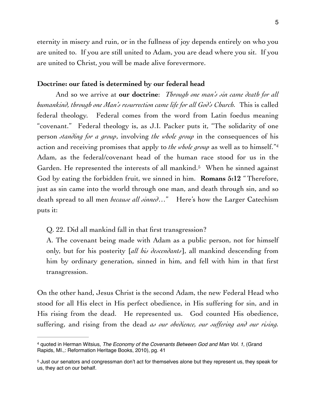eternity in misery and ruin, or in the fullness of joy depends entirely on who you are united to. If you are still united to Adam, you are dead where you sit. If you are united to Christ, you will be made alive forevermore.

#### **Doctrine: our fated is determined by our federal head**

And so we arrive at **our doctrine**: *Through one man's sin came death for all humankind, through one Man's resurrection came life for all God's Church.* This is called federal theology. Federal comes from the word from Latin foedus meaning "covenant." Federal theology is, as J.I. Packer puts it, "The solidarity of one person *standing for a group*, involving *the whole group* in the consequences of his action and receiving promises that apply to *the whole group* as well as to himself.["4](#page-4-0) Adam, as the federal/covenant head of the human race stood for us in the Garden.He represented the interests of all mankind.<sup>[5](#page-4-1)</sup> When he sinned against God by eating the forbidden fruit, we sinned in him. **Romans 5:12** "Therefore, just as sin came into the world through one man, and death through sin, and so death spread to all men *because all sinned*…" Here's how the Larger Catechism puts it:

<span id="page-4-3"></span><span id="page-4-2"></span>Q. 22. Did all mankind fall in that first transgression?

A. The covenant being made with Adam as a public person, not for himself only, but for his posterity [*all his descendants*], all mankind descending from him by ordinary generation, sinned in him, and fell with him in that first transgression.

On the other hand, Jesus Christ is the second Adam, the new Federal Head who stood for all His elect in His perfect obedience, in His suffering for sin, and in His rising from the dead. He represented us. God counted His obedience, suffering, and rising from the dead *as our obedience, our suffering and our rising.* 

<span id="page-4-0"></span><sup>&</sup>lt;sup>[4](#page-4-2)</sup> quoted in Herman Witsius, *The Economy of the Covenants Between God and Man Vol. 1, (Grand* Rapids, MI.,: Reformation Heritage Books, 2010), pg. 41

<span id="page-4-1"></span><sup>&</sup>lt;sup>5</sup>Just our senators and congressman don't act for themselves alone but they represent us, they speak for us, they act on our behalf.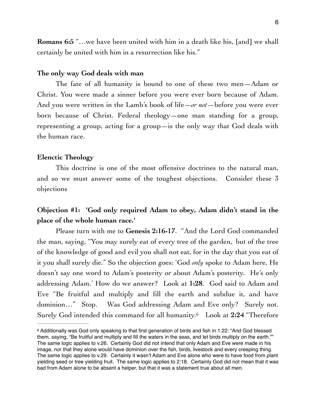**Romans 6:5** "…we have been united with him in a death like his, [and] we shall certainly be united with him in a resurrection like his."

#### **The only way God deals with man**

The fate of all humanity is bound to one of these two men—Adam or Christ. You were made a sinner before you were ever born because of Adam. And you were written in the Lamb's book of life—*or not*—before you were ever born because of Christ. Federal theology—one man standing for a group, representing a group, acting for a group—is the only way that God deals with the human race.

#### **Elenctic Theology**

This doctrine is one of the most offensive doctrines to the natural man, and so we must answer some of the toughest objections. Consider these 3 objections

## **Objection #1: 'God only required Adam to obey, Adam didn't stand in the place of the whole human race.'**

Please turn with me to **Genesis 2:16-17**. "And the Lord God commanded the man, saying, "You may surely eat of every tree of the garden, but of the tree of the knowledge of good and evil you shall not eat, for in the day that you eat of it you shall surely die." So the objection goes: 'God *only* spoke to Adam here, He doesn't say one word to Adam's posterity or about Adam's posterity. He's only addressing Adam.' How do we answer? Look at **1:28**. God said to Adam and Eve "Be fruitful and multiply and fill the earth and subdue it, and have dominion…" Stop. Was God addressing Adam and Eve only? Surely not. Surely God intended this command for all humanity.<sup>6</sup> Look at 2:24 "Therefore

<span id="page-5-1"></span><span id="page-5-0"></span>Additionally was God only speaking to that first generation of birds and fish in 1:22: "And God blessed [6](#page-5-1) them, saying, "Be fruitful and multiply and fill the waters in the seas, and let birds multiply on the earth."" The same logic applies to v.26. Certainly God did not intend that only Adam and Eve were made in his image, nor that they alone would have dominion over the fish, birds, livestock and every creeping thing. The same logic applies to v.29. Certainly it wasn't Adam and Eve alone who were to have food from plant yielding seed or tree yielding fruit. The same logic applies to 2:18. Certainly God did not mean that it was bad from Adam alone to be absent a helper, but that it was a statement true about all men.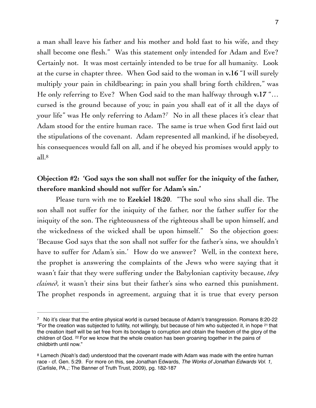a man shall leave his father and his mother and hold fast to his wife, and they shall become one flesh." Was this statement only intended for Adam and Eve? Certainly not. It was most certainly intended to be true for all humanity. Look at the curse in chapter three. When God said to the woman in **v.16** "I will surely multiply your pain in childbearing; in pain you shall bring forth children," was He only referring to Eve? When God said to the man halfway through **v.17** "… cursed is the ground because of you; in pain you shall eat of it all the days of your life" was He only referring to Adam?<sup>[7](#page-6-0)</sup> No in all these places it's clear that Adam stood for the entire human race. The same is true when God first laid out the stipulations of the covenant. Adam represented all mankind, if he disobeyed, his consequences would fall on all, and if he obeyed his promises would apply to all[.8](#page-6-1)

## <span id="page-6-3"></span><span id="page-6-2"></span>**Objection #2: 'God says the son shall not suffer for the iniquity of the father, therefore mankind should not suffer for Adam's sin.'**

Please turn with me to **Ezekiel 18:20**. "The soul who sins shall die. The son shall not suffer for the iniquity of the father, nor the father suffer for the iniquity of the son. The righteousness of the righteous shall be upon himself, and the wickedness of the wicked shall be upon himself." So the objection goes: 'Because God says that the son shall not suffer for the father's sins, we shouldn't have to suffer for Adam's sin.' How do we answer? Well, in the context here, the prophet is answering the complaints of the Jews who were saying that it wasn't fair that they were suffering under the Babylonian captivity because, *they claimed*, it wasn't their sins but their father's sins who earned this punishment. The prophet responds in agreement, arguing that it is true that every person

<span id="page-6-0"></span><sup>&</sup>lt;sup>7</sup>No it's clear that the entire physical world is cursed because of Adam's transgression. Romans 8:20-22 "For the creation was subjected to futility, not willingly, but because of him who subjected it, in hope 21 that the creation itself will be set free from its bondage to corruption and obtain the freedom of the glory of the children of God. 22 For we know that the whole creation has been groaning together in the pains of childbirth until now."

<span id="page-6-1"></span><sup>&</sup>lt;sup>8</sup>Lamech (Noah's dad) understood that the covenant made with Adam was made with the entire human race - cf. Gen. 5:29. For more on this, see Jonathan Edwards, *The Works of Jonathan Edwards Vol. 1,*  (Carlisle, PA.,: The Banner of Truth Trust, 2009), pg. 182-187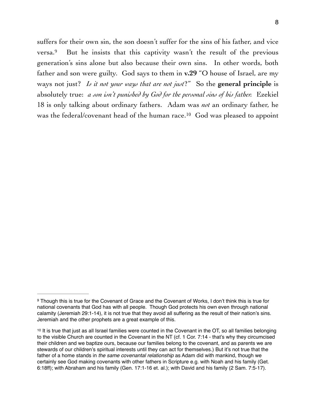<span id="page-7-3"></span><span id="page-7-2"></span>suffers for their own sin, the son doesn't suffer for the sins of his father, and vice versa. $9$  But he insists that this captivity wasn't the result of the previous generation's sins alone but also because their own sins. In other words, both father and son were guilty. God says to them in **v.29** "O house of Israel, are my ways not just? *Is it not your ways that are not just*?" So the **general principle** is absolutely true: *a son isn't punished by God for the personal sins of his father.* Ezekiel 18 is only talking about ordinary fathers. Adam was *not* an ordinary father, he was the federal/covenant head of the human race.<sup>[10](#page-7-1)</sup> God was pleased to appoint

<span id="page-7-0"></span>Though this is true for the Covenant of Grace and the Covenant of Works, I don't think this is true for [9](#page-7-2) national covenants that God has with all people. Though God protects his own even through national calamity (Jeremiah 29:1-14), it is not true that they avoid all suffering as the result of their nation's sins. Jeremiah and the other prophets are a great example of this.

<span id="page-7-1"></span> $10$  It is true that just as all Israel families were counted in the Covenant in the OT, so all families belonging to the visible Church are counted in the Covenant in the NT (cf. 1 Cor. 7:14 - that's why they circumcised their children and we baptize ours, because our families belong to the covenant, and as parents we are stewards of our children's spiritual interests until they can act for themselves.) But it's not true that the father of a home stands in *the same covenantal relationship* as Adam did with mankind, though we certainly see God making covenants with other fathers in Scripture e.g. with Noah and his family (Get. 6:18ff); with Abraham and his family (Gen. 17:1-16 et. al.); with David and his family (2 Sam. 7:5-17).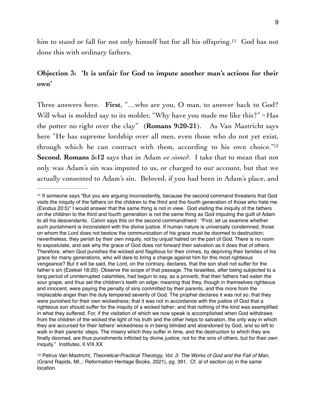<span id="page-8-2"></span>him to stand or fall for not only himself but for all his offspring.<sup>[11](#page-8-0)</sup> God has not done this with ordinary fathers.

## **Objection 3: 'It is unfair for God to impute another man's actions for their own'**

<span id="page-8-3"></span>Three answers here. **First**, "…who are you, O man, to answer back to God? Will what is molded say to its molder, "Why have you made me like this?" 21 Has the potter no right over the clay" (**Romans 9:20-21**). As Van Mastricht says here "He has supreme lordship over all men, even those who do not yet exist, through which he can contract with them, according to his own choice."[12](#page-8-1) **Second**, **Romans 5:12** says that in Adam *we sinned*. I take that to mean that not only was Adam's sin was imputed to us, or charged to our account, but that we actually consented to Adam's sin. Beloved, if you had been in Adam's place, and

<span id="page-8-0"></span><sup>&</sup>lt;sup>11</sup>If someone says "But you are arguing inconsistently, because the second command threatens that God visits the iniquity of the fathers on the children to the third and the fourth generation of those who hate me (Exodus 20:5)" I would answer that the same thing is not in view. God visiting the iniquity of the fathers on the children to the third and fourth generation is not the same thing as God imputing the guilt of Adam to all his descendants. Calvin says this on the second commandment: "First, let us examine whether such punishment is inconsistent with the divine justice. If human nature is universally condemned, those on whom the Lord does not bestow the communication of his grace must be doomed to destruction; nevertheless, they perish by their own iniquity, not by unjust hatred on the part of God. There is no room to expostulate, and ask why the grace of God does not forward their salvation as it does that of others. Therefore, when God punishes the wicked and flagitious for their crimes, by depriving their families of his grace for many generations, who will dare to bring a charge against him for this most righteous vengeance? But it will be said, the Lord, on the contrary, declares, that the son shall not suffer for the father's sin (Ezekiel 18:20). Observe the scope of that passage. The Israelites, after being subjected to a long period of uninterrupted calamities, had begun to say, as a proverb, that their fathers had eaten the sour grape, and thus set the children's teeth on edge; meaning that they, though in themselves righteous and innocent, were paying the penalty of sins committed by their parents, and this more from the implacable anger than the duly tempered severity of God. The prophet declares it was not so: that they were punished for their own wickedness; that it was not in accordance with the justice of God that a righteous son should suffer for the iniquity of a wicked father; and that nothing of the kind was exemplified in what they suffered. For, if the visitation of which we now speak is accomplished when God withdraws from the children of the wicked the light of his truth and the other helps to salvation, the only way in which they are accursed for their fathers' wickedness is in being blinded and abandoned by God, and so left to walk in their parents' steps. The misery which they suffer in time, and the destruction to which they are finally doomed, are thus punishments inflicted by divine justice, not for the sins of others, but for their own iniquity." Institutes, II.VIII.XX

<span id="page-8-1"></span><sup>&</sup>lt;sup>[12](#page-8-3)</sup> Petrus Van Mastricht, *Theoretical-Practical Theology, Vol. 3: The Works of God and the Fall of Man,* (Grand Rapids, MI.,: Reformation Heritage Books, 2021), pg. 391. Cf. al of section (a) in the same location.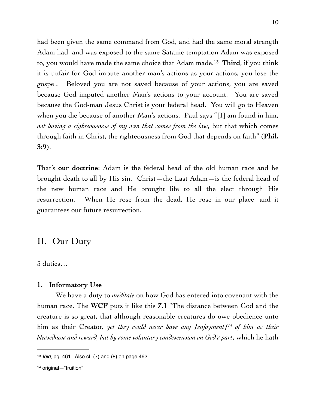<span id="page-9-2"></span>had been given the same command from God, and had the same moral strength Adam had, and was exposed to the same Satanic temptation Adam was exposed to, you would have made the same choice that Adam made.<sup>13</sup> Third, if you think it is unfair for God impute another man's actions as your actions, you lose the gospel. Beloved you are not saved because of your actions, you are saved because God imputed another Man's actions to your account. You are saved because the God-man Jesus Christ is your federal head. You will go to Heaven when you die because of another Man's actions. Paul says "[I] am found in him, *not having a righteousness of my own that comes from the law*, but that which comes through faith in Christ, the righteousness from God that depends on faith" (**Phil. 3:9**).

That's **our doctrine**: Adam is the federal head of the old human race and he brought death to all by His sin. Christ—the Last Adam—is the federal head of the new human race and He brought life to all the elect through His resurrection. When He rose from the dead, He rose in our place, and it guarantees our future resurrection.

## II. Our Duty

3 duties…

#### **1. Informatory Use**

<span id="page-9-3"></span>We have a duty to *meditate* on how God has entered into covenant with the human race. The **WCF** puts it like this **7.1** "The distance between God and the creature is so great, that although reasonable creatures do owe obedience unto him as their Creator, *yet they could never have any [enjoyment[\]](#page-9-1) of him as their [14](#page-9-1) blessedness and reward, but by some voluntary condescension on God's part*, which he hath

<span id="page-9-0"></span>[<sup>13</sup>](#page-9-2) *Ibid,* pg. 461. Also cf. (7) and (8) on page 462

<span id="page-9-1"></span>[<sup>14</sup>](#page-9-3) original—"fruition"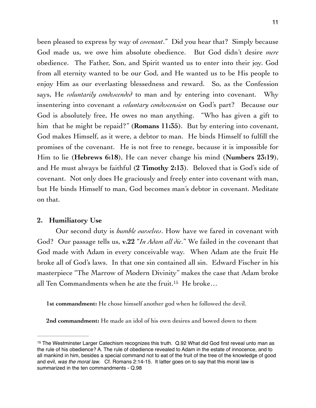been pleased to express by way of *covenant*." Did you hear that? Simply because God made us, we owe him absolute obedience. But God didn't desire *mere* obedience. The Father, Son, and Spirit wanted us to enter into their joy. God from all eternity wanted to be our God, and He wanted us to be His people to enjoy Him as our everlasting blessedness and reward. So, as the Confession says, He *voluntarily condescended* to man and by entering into covenant. Why insentering into covenant a *voluntary condescension* on God's part? Because our God is absolutely free, He owes no man anything. "Who has given a gift to him that he might be repaid?" (**Romans 11:35**). But by entering into covenant, God makes Himself, as it were, a debtor to man. He binds Himself to fulfill the promises of the covenant. He is not free to renege, because it is impossible for Him to lie (**Hebrews 6:18**), He can never change his mind (**Numbers 23:19**), and He must always be faithful (**2 Timothy 2:13**). Beloved that is God's side of covenant. Not only does He graciously and freely enter into covenant with man, but He binds Himself to man, God becomes man's debtor in covenant. Meditate on that.

#### **2. Humiliatory Use**

Our second duty is *humble ourselves*. How have we fared in covenant with God? Our passage tells us, **v.22** "*In Adam all die*." We failed in the covenant that God made with Adam in every conceivable way. When Adam ate the fruit He broke all of God's laws. In that one sin contained all sin. Edward Fischer in his masterpiece "The Marrow of Modern Divinity" makes the case that Adam broke all Ten Commandments when he ate the fruit[.15](#page-10-0) He broke…

<span id="page-10-1"></span>**1st commandment:** He chose himself another god when he followed the devil.

**2nd commandment:** He made an idol of his own desires and bowed down to them

<span id="page-10-0"></span><sup>&</sup>lt;sup>[15](#page-10-1)</sup> The Westminster Larger Catechism recognizes this truth. Q.92 What did God first reveal unto man as the rule of his obedience? A. The rule of obedience revealed to Adam in the estate of innocence, and to all mankind in him, besides a special command not to eat of the fruit of the tree of the knowledge of good and evil, *was the moral law.* Cf. Romans 2:14-15. It latter goes on to say that this moral law is summarized in the ten commandments - Q.98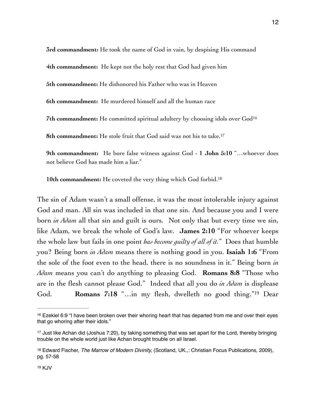**3rd commandment:** He took the name of God in vain, by despising His command **4th commandment:** He kept not the holy rest that God had given him **5th commandment:** He dishonored his Father who was in Heaven **6th commandment:** He murdered himself and all the human race **7th commandment:** He committed spiritual adultery by choosing idols over Go[d16](#page-11-0)

<span id="page-11-5"></span><span id="page-11-4"></span>**8th commandment:** He stole fruit that God said was not his to take.[17](#page-11-1)

**9th commandment:** He bore false witness against God - **1 John 5:10** "…whoever does not believe God has made him a liar."

<span id="page-11-6"></span>**10th commandment:** He coveted the very thing which God forbid[.18](#page-11-2)

The sin of Adam wasn't a small offense, it was the most intolerable injury against God and man. All sin was included in that one sin. And because you and I were born *in Adam* all that sin and guilt is ours. Not only that but every time we sin, like Adam, we break the whole of God's law. **James 2:10** "For whoever keeps the whole law but fails in one point *has become guilty of all of it.*" Does that humble you? Being born *in Adam* means there is nothing good in you. **Isaiah 1:6** "From the sole of the foot even to the head, there is no soundness in it." Being born *in Adam* means you can't do anything to pleasing God. **Romans 8:8** "Those who are in the flesh cannot please God." Indeed that all you do *in Adam* is displease God. **Romans 7:18** ["](#page-11-3)...in my flesh, dwelleth no good thing."<sup>[19](#page-11-3)</sup> Dear

<span id="page-11-7"></span><span id="page-11-0"></span> $16$  Ezekiel 6:9 "I have been broken over their whoring heart that has departed from me and over their eyes that go whoring after their idols."

<span id="page-11-1"></span><sup>&</sup>lt;sup>[17](#page-11-5)</sup> Just like Achan did (Joshua 7:20), by taking something that was set apart for the Lord, thereby bringing trouble on the whole world just like Achan brought trouble on all Israel.

<span id="page-11-3"></span><span id="page-11-2"></span>Edward Fischer, *The Marrow of Modern Divinity,* (Scotland, UK.,: Christian Focus Publications, 2009), [18](#page-11-6) pg. 57-58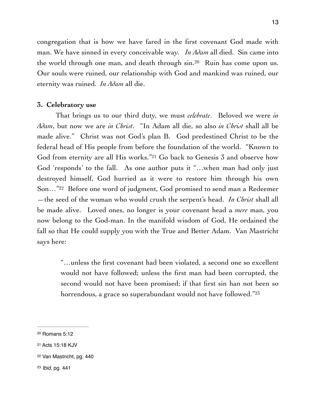<span id="page-12-4"></span>congregation that is how we have fared in the first covenant God made with man. We have sinned in every conceivable way. *In Adam* all died. Sin came into the world through one man, and death through  $sin<sup>20</sup>$  $sin<sup>20</sup>$  $sin<sup>20</sup>$  Ruin has come upon us[.](#page-12-0) Our souls were ruined, our relationship with God and mankind was ruined, our eternity was ruined. *In Adam* all die.

#### **3. Celebratory use**

<span id="page-12-5"></span>That brings us to our third duty, we must *celebrate*. Beloved we were *in Adam*, but now we are *in Christ*. "In Adam all die, so also *in Christ* shall all be made alive." Christ was not God's plan B. God predestined Christ to be the federal head of His people from before the foundation of the world. "Known to God from eternity are all His works."<sup>[21](#page-12-1)</sup> Go back to Genesis  $3$  and observe how God 'responds' to the fall. As one author puts it "…when man had only just destroyed himself, God hurried as it were to restore him through his own Son..."<sup>22</sup> Before one word of judgment, God promised to send man a Redeemer —the seed of the woman who would crush the serpent's head. *In Christ* shall all be made alive. Loved ones, no longer is your covenant head a *mere* man, you now belong to the God-man. In the manifold wisdom of God, He ordained the fall so that He could supply you with the True and Better Adam. Van Mastricht says here:

<span id="page-12-7"></span><span id="page-12-6"></span>"…unless the first covenant had been violated, a second one so excellent would not have followed; unless the first man had been corrupted, the second would not have been promised; if that first sin han not been so horrendous, a grace so superabundant would not have followed."<sup>23</sup>

<span id="page-12-0"></span>[<sup>20</sup>](#page-12-4) Romans 5:12

<span id="page-12-1"></span>[<sup>21</sup>](#page-12-5) Acts 15:18 KJV

<span id="page-12-3"></span><span id="page-12-2"></span>[<sup>22</sup>](#page-12-6) Van Mastricht, pg. 440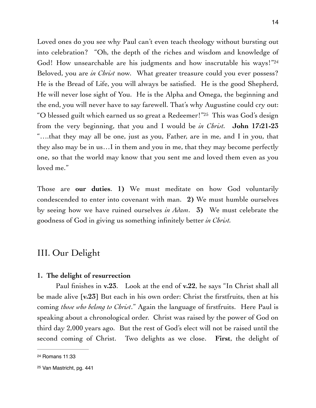<span id="page-13-3"></span><span id="page-13-2"></span>Loved ones do you see why Paul can't even teach theology without bursting out into celebration? "Oh, the depth of the riches and wisdom and knowledge of God! How unsearchable are his judgments and how inscrutable his ways!"[24](#page-13-0) Beloved, you are *in Christ* now. What greater treasure could you ever possess? He is the Bread of Life, you will always be satisfied. He is the good Shepherd, He will never lose sight of You. He is the Alpha and Omega, the beginning and the end, you will never have to say farewell. That's why Augustine could cry out: "Oblessed guilt which earned us so great a Redeemer!" [25](#page-13-1) This was God's design from the very beginning, that you and I would be *in Christ.* **John 17:21-23** "….that they may all be one, just as you, Father, are in me, and I in you, that they also may be in us…I in them and you in me, that they may become perfectly one, so that the world may know that you sent me and loved them even as you loved me."

Those are **our duties**. **1)** We must meditate on how God voluntarily condescended to enter into covenant with man. **2)** We must humble ourselves by seeing how we have ruined ourselves *in Adam*. **3)** We must celebrate the goodness of God in giving us something infinitely better *in Christ.*

## III. Our Delight

#### **1. The delight of resurrection**

Paul finishes in **v.23**. Look at the end of **v.22**, he says "In Christ shall all be made alive [**v.23**] But each in his own order: Christ the firstfruits, then at his coming *those who belong to Christ*." Again the language of firstfruits. Here Paul is speaking about a chronological order. Christ was raised by the power of God on third day 2,000 years ago. But the rest of God's elect will not be raised until the second coming of Christ. Two delights as we close. **First**, the delight of

<span id="page-13-0"></span>[<sup>24</sup>](#page-13-2) Romans 11:33

<span id="page-13-1"></span>[<sup>25</sup>](#page-13-3) Van Mastricht, pg. 441